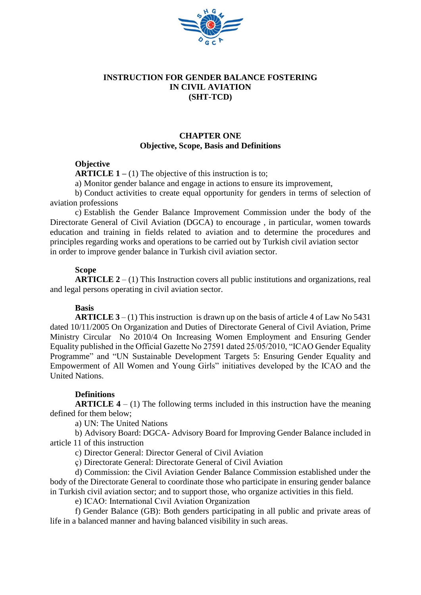

### **INSTRUCTION FOR GENDER BALANCE FOSTERING IN CIVIL AVIATION (SHT-TCD)**

# **CHAPTER ONE Objective, Scope, Basis and Definitions**

### **Objective**

**ARTICLE 1** – (1) The objective of this instruction is to;

a) Monitor gender balance and engage in actions to ensure its improvement,

b) Conduct activities to create equal opportunity for genders in terms of selection of aviation professions

c) Establish the Gender Balance Improvement Commission under the body of the Directorate General of Civil Aviation (DGCA) to encourage , in particular, women towards education and training in fields related to aviation and to determine the procedures and principles regarding works and operations to be carried out by Turkish civil aviation sector in order to improve gender balance in Turkish civil aviation sector.

#### **Scope**

**ARTICLE 2** – (1) This Instruction covers all public institutions and organizations, real and legal persons operating in civil aviation sector.

### **Basis**

**ARTICLE 3** – (1) This instruction is drawn up on the basis of article 4 of Law No 5431 dated 10/11/2005 On Organization and Duties of Directorate General of Civil Aviation, Prime Ministry Circular No 2010/4 On Increasing Women Employment and Ensuring Gender Equality published in the Official Gazette No  $27591$  dated  $25/05/2010$ , "ICAO Gender Equality Programme" and "UN Sustainable Development Targets 5: Ensuring Gender Equality and Empowerment of All Women and Young Girls" initiatives developed by the ICAO and the United Nations.

### **Definitions**

**ARTICLE 4** – (1) The following terms included in this instruction have the meaning defined for them below;

a) UN: The United Nations

b) Advisory Board: DGCA- Advisory Board for Improving Gender Balance included in article 11 of this instruction

c) Director General: Director General of Civil Aviation

ç) Directorate General: Directorate General of Civil Aviation

d) Commission: the Civil Aviation Gender Balance Commission established under the body of the Directorate General to coordinate those who participate in ensuring gender balance in Turkish civil aviation sector; and to support those, who organize activities in this field.

e) ICAO: International Cıvil Aviation Organization

f) Gender Balance (GB): Both genders participating in all public and private areas of life in a balanced manner and having balanced visibility in such areas.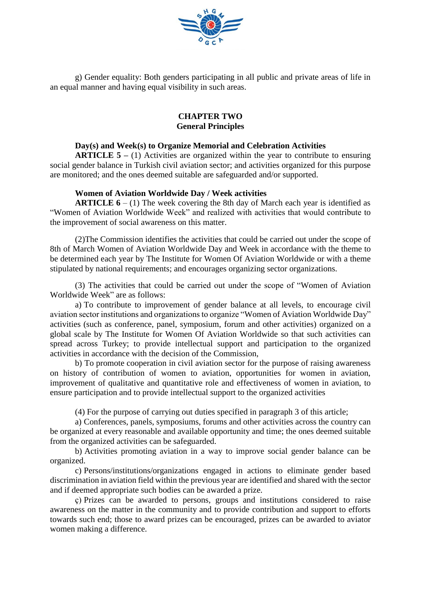

g) Gender equality: Both genders participating in all public and private areas of life in an equal manner and having equal visibility in such areas.

### **CHAPTER TWO General Principles**

### **Day(s) and Week(s) to Organize Memorial and Celebration Activities**

**ARTICLE 5 –** (1) Activities are organized within the year to contribute to ensuring social gender balance in Turkish civil aviation sector; and activities organized for this purpose are monitored; and the ones deemed suitable are safeguarded and/or supported.

#### **Women of Aviation Worldwide Day / Week activities**

**ARTICLE 6** – (1) The week covering the 8th day of March each year is identified as "Women of Aviation Worldwide Week" and realized with activities that would contribute to the improvement of social awareness on this matter.

(2)The Commission identifies the activities that could be carried out under the scope of 8th of March Women of Aviation Worldwide Day and Week in accordance with the theme to be determined each year by The Institute for Women Of Aviation Worldwide or with a theme stipulated by national requirements; and encourages organizing sector organizations.

(3) The activities that could be carried out under the scope of "Women of Aviation Worldwide Week" are as follows:

a) To contribute to improvement of gender balance at all levels, to encourage civil aviation sector institutions and organizations to organize "Women of Aviation Worldwide Day" activities (such as conference, panel, symposium, forum and other activities) organized on a global scale by The Institute for Women Of Aviation Worldwide so that such activities can spread across Turkey; to provide intellectual support and participation to the organized activities in accordance with the decision of the Commission,

b) To promote cooperation in civil aviation sector for the purpose of raising awareness on history of contribution of women to aviation, opportunities for women in aviation, improvement of qualitative and quantitative role and effectiveness of women in aviation, to ensure participation and to provide intellectual support to the organized activities

(4) For the purpose of carrying out duties specified in paragraph 3 of this article;

a) Conferences, panels, symposiums, forums and other activities across the country can be organized at every reasonable and available opportunity and time; the ones deemed suitable from the organized activities can be safeguarded.

b) Activities promoting aviation in a way to improve social gender balance can be organized.

c) Persons/institutions/organizations engaged in actions to eliminate gender based discrimination in aviation field within the previous year are identified and shared with the sector and if deemed appropriate such bodies can be awarded a prize.

ç) Prizes can be awarded to persons, groups and institutions considered to raise awareness on the matter in the community and to provide contribution and support to efforts towards such end; those to award prizes can be encouraged, prizes can be awarded to aviator women making a difference.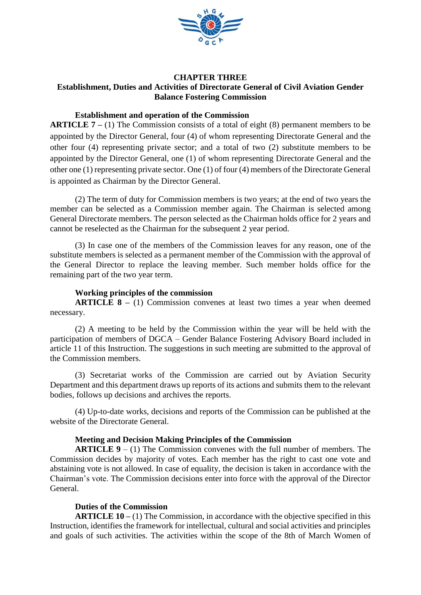

# **CHAPTER THREE Establishment, Duties and Activities of Directorate General of Civil Aviation Gender Balance Fostering Commission**

### **Establishment and operation of the Commission**

**ARTICLE 7 –** (1) The Commission consists of a total of eight (8) permanent members to be appointed by the Director General, four (4) of whom representing Directorate General and the other four (4) representing private sector; and a total of two (2) substitute members to be appointed by the Director General, one (1) of whom representing Directorate General and the other one (1) representing private sector. One (1) of four (4) members of the Directorate General is appointed as Chairman by the Director General.

(2) The term of duty for Commission members is two years; at the end of two years the member can be selected as a Commission member again. The Chairman is selected among General Directorate members. The person selected as the Chairman holds office for 2 years and cannot be reselected as the Chairman for the subsequent 2 year period.

(3) In case one of the members of the Commission leaves for any reason, one of the substitute members is selected as a permanent member of the Commission with the approval of the General Director to replace the leaving member. Such member holds office for the remaining part of the two year term.

### **Working principles of the commission**

**ARTICLE 8** – (1) Commission convenes at least two times a year when deemed necessary.

(2) A meeting to be held by the Commission within the year will be held with the participation of members of DGCA – Gender Balance Fostering Advisory Board included in article 11 of this Instruction. The suggestions in such meeting are submitted to the approval of the Commission members.

(3) Secretariat works of the Commission are carried out by Aviation Security Department and this department draws up reports of its actions and submits them to the relevant bodies, follows up decisions and archives the reports.

(4) Up-to-date works, decisions and reports of the Commission can be published at the website of the Directorate General.

# **Meeting and Decision Making Principles of the Commission**

**ARTICLE 9** – (1) The Commission convenes with the full number of members. The Commission decides by majority of votes. Each member has the right to cast one vote and abstaining vote is not allowed. In case of equality, the decision is taken in accordance with the Chairman's vote. The Commission decisions enter into force with the approval of the Director General.

# **Duties of the Commission**

**ARTICLE 10 –** (1) The Commission, in accordance with the objective specified in this Instruction, identifies the framework for intellectual, cultural and social activities and principles and goals of such activities. The activities within the scope of the 8th of March Women of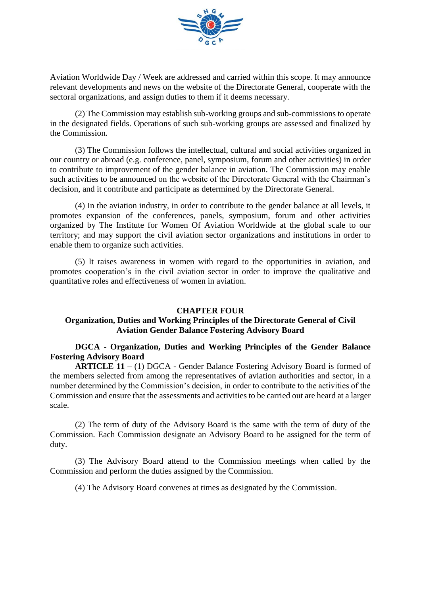

Aviation Worldwide Day / Week are addressed and carried within this scope. It may announce relevant developments and news on the website of the Directorate General, cooperate with the sectoral organizations, and assign duties to them if it deems necessary.

(2) The Commission may establish sub-working groups and sub-commissions to operate in the designated fields. Operations of such sub-working groups are assessed and finalized by the Commission.

(3) The Commission follows the intellectual, cultural and social activities organized in our country or abroad (e.g. conference, panel, symposium, forum and other activities) in order to contribute to improvement of the gender balance in aviation. The Commission may enable such activities to be announced on the website of the Directorate General with the Chairman's decision, and it contribute and participate as determined by the Directorate General.

(4) In the aviation industry, in order to contribute to the gender balance at all levels, it promotes expansion of the conferences, panels, symposium, forum and other activities organized by The Institute for Women Of Aviation Worldwide at the global scale to our territory; and may support the civil aviation sector organizations and institutions in order to enable them to organize such activities.

(5) It raises awareness in women with regard to the opportunities in aviation, and promotes cooperation's in the civil aviation sector in order to improve the qualitative and quantitative roles and effectiveness of women in aviation.

### **CHAPTER FOUR**

# **Organization, Duties and Working Principles of the Directorate General of Civil Aviation Gender Balance Fostering Advisory Board**

### **DGCA - Organization, Duties and Working Principles of the Gender Balance Fostering Advisory Board**

**ARTICLE 11** – (1) DGCA - Gender Balance Fostering Advisory Board is formed of the members selected from among the representatives of aviation authorities and sector, in a number determined by the Commission's decision, in order to contribute to the activities of the Commission and ensure that the assessments and activities to be carried out are heard at a larger scale.

(2) The term of duty of the Advisory Board is the same with the term of duty of the Commission. Each Commission designate an Advisory Board to be assigned for the term of duty.

(3) The Advisory Board attend to the Commission meetings when called by the Commission and perform the duties assigned by the Commission.

(4) The Advisory Board convenes at times as designated by the Commission.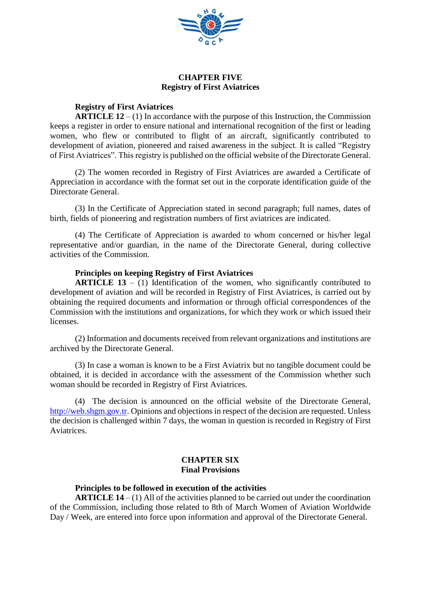

### **CHAPTER FIVE Registry of First Aviatrices**

### **Registry of First Aviatrices**

**ARTICLE 12** – (1) In accordance with the purpose of this Instruction, the Commission keeps a register in order to ensure national and international recognition of the first or leading women, who flew or contributed to flight of an aircraft, significantly contributed to development of aviation, pioneered and raised awareness in the subject. It is called "Registry of First Aviatrices". This registry is published on the official website of the Directorate General.

(2) The women recorded in Registry of First Aviatrices are awarded a Certificate of Appreciation in accordance with the format set out in the corporate identification guide of the Directorate General.

(3) In the Certificate of Appreciation stated in second paragraph; full names, dates of birth, fields of pioneering and registration numbers of first aviatrices are indicated.

(4) The Certificate of Appreciation is awarded to whom concerned or his/her legal representative and/or guardian, in the name of the Directorate General, during collective activities of the Commission.

### **Principles on keeping Registry of First Aviatrices**

**ARTICLE 13** – (1) Identification of the women, who significantly contributed to development of aviation and will be recorded in Registry of First Aviatrices, is carried out by obtaining the required documents and information or through official correspondences of the Commission with the institutions and organizations, for which they work or which issued their licenses.

(2) Information and documents received from relevant organizations and institutions are archived by the Directorate General.

(3) In case a woman is known to be a First Aviatrix but no tangible document could be obtained, it is decided in accordance with the assessment of the Commission whether such woman should be recorded in Registry of First Aviatrices.

(4) The decision is announced on the official website of the Directorate General, [http://web.shgm.gov.tr.](http://web.shgm.gov.tr/) Opinions and objections in respect of the decision are requested. Unless the decision is challenged within 7 days, the woman in question is recorded in Registry of First Aviatrices.

# **CHAPTER SIX Final Provisions**

### **Principles to be followed in execution of the activities**

**ARTICLE 14** – (1) All of the activities planned to be carried out under the coordination of the Commission, including those related to 8th of March Women of Aviation Worldwide Day / Week, are entered into force upon information and approval of the Directorate General.